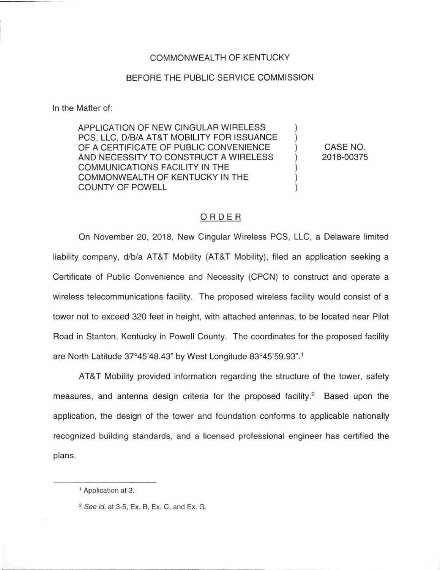## COMMONWEALTH OF KENTUCKY

## BEFORE THE PUBLIC SERVICE COMMISSION

In the Matter of:

APPLICATION OF NEW CINGULAR WIRELESS PCS, LLC, D/B/A AT&T MOBILITY FOR ISSUANCE OF A CERTIFICATE OF PUBLIC CONVENIENCE AND NECESSITY TO CONSTRUCT A WIRELESS COMMUNICATIONS FACILITY IN THE COMMONWEALTH OF KENTUCKY IN THE COUNTY OF POWELL

CASE NO. 2018-00375

) ) ) ) ) ) )

## ORDER

On November 20, 2018, New Cingular Wireless PCS, LLC, a Delaware limited liability company, d/b/a AT&T Mobility (AT&T Mobility), filed an application seeking a Certificate of Public Convenience and Necessity (CPCN) to construct and operate a wireless telecommunications facility. The proposed wireless facility would consist of a tower not to exceed 320 feet in height, with attached antennas, to be located near Pilot Road in Stanton, Kentucky in Powell County. The coordinates for the proposed facility are North Latitude 37°45'48.43" by West Longitude 83°45'59.93".<sup>1</sup>

AT&T Mobility provided information regarding the structure of the tower, safety measures, and antenna design criteria for the proposed facility.<sup>2</sup> Based upon the application, the design of the tower and foundation conforms to applicable nationally recognized building standards, and a licensed professional engineer has certified the plans.

<sup>&</sup>lt;sup>1</sup> Application at 3.

<sup>2</sup> See id. at 3-5, Ex. B, Ex. C, and Ex. G.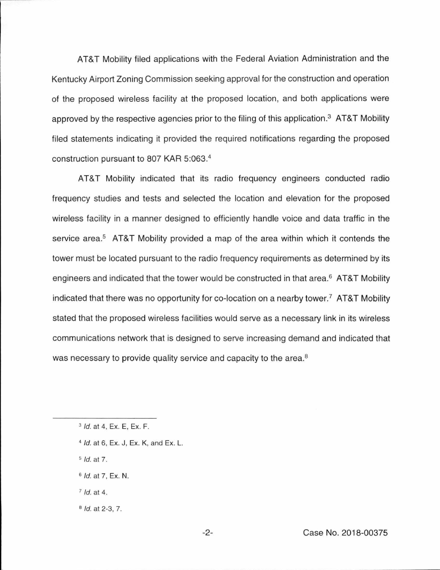AT&T Mobility filed applications with the Federal Aviation Administration and the Kentucky Airport Zoning Commission seeking approval for the construction and operation of the proposed wireless facility at the proposed location, and both applications were approved by the respective agencies prior to the filing of this application.3 AT&T Mobility filed statements indicating it provided the required notifications regarding the proposed construction pursuant to 807 KAR 5:063.<sup>4</sup>

AT&T Mobility indicated that its radio frequency engineers conducted radio frequency studies and tests and selected the location and elevation for the proposed wireless facility in a manner designed to efficiently handle voice and data traffic in the service area.<sup>5</sup> AT&T Mobility provided a map of the area within which it contends the tower must be located pursuant to the radio frequency requirements as determined by its engineers and indicated that the tower would be constructed in that area.<sup>6</sup> AT&T Mobility indicated that there was no opportunity for co-location on a nearby tower.<sup>7</sup> AT&T Mobility stated that the proposed wireless facilities would serve as a necessary link in its wireless communications network that is designed to serve increasing demand and indicated that was necessary to provide quality service and capacity to the area.<sup>8</sup>

- $5$  *ld.* at 7.
- 6 Id. at 7, Ex. N.
- $7$  Id. at 4.
- <sup>8</sup>Id. at 2-3, 7.

<sup>&</sup>lt;sup>3</sup> Id. at 4, Ex. E, Ex. F.

 $4$  Id. at 6, Ex. J, Ex. K, and Ex. L.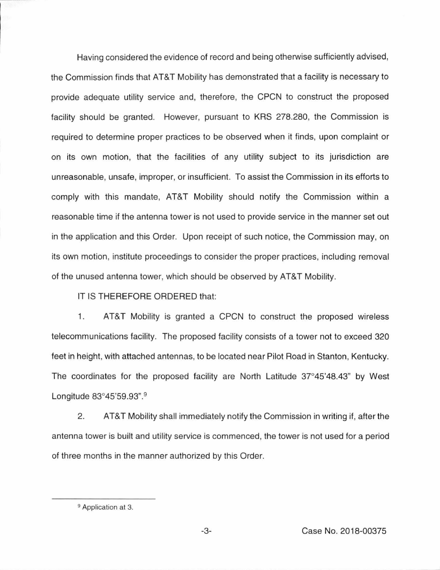Having considered the evidence of record and being otherwise sufficiently advised, the Commission finds that AT&T Mobility has demonstrated that a facility is necessary to provide adequate utility service and, therefore, the CPCN to construct the proposed facility should be granted. However, pursuant to KRS 278.280, the Commission is required to determine proper practices to be observed when it finds, upon complaint or on its own motion, that the facilities of any utility subject to its jurisdiction are unreasonable, unsafe, improper, or insufficient. To assist the Commission in its efforts to comply with this mandate, AT&T Mobility should notify the Commission within a reasonable time if the antenna tower is not used to provide service in the manner set out in the application and this Order. Upon receipt of such notice, the Commission may, on its own motion, institute proceedings to consider the proper practices, including removal of the unused antenna tower, which should be observed by AT&T Mobility.

IT IS THEREFORE ORDERED that:

1. AT&T Mobility is granted a CPCN to construct the proposed wireless telecommunications facility. The proposed facility consists of a tower not to exceed 320 feet in height, with attached antennas, to be located near Pilot Road in Stanton, Kentucky. The coordinates for the proposed facility are North Latitude 37°45'48.43" by West Longitude 83°45'59.93". <sup>9</sup>

2. AT&T Mobility shall immediately notify the Commission in writing if, after the antenna tower is built and utility service is commenced, the tower is not used for a period of three months in the manner authorized by this Order.

<sup>&</sup>lt;sup>9</sup> Application at 3.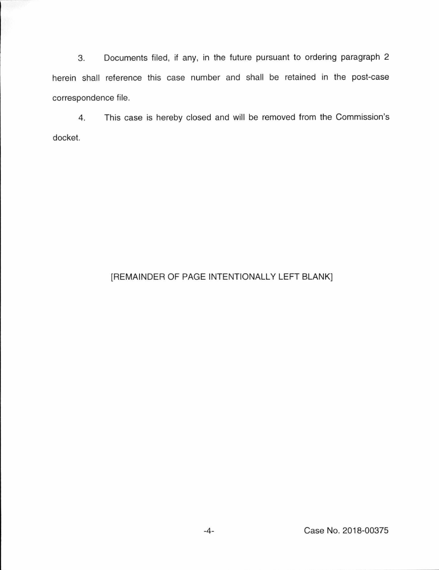3. Documents filed, if any, in the future pursuant to ordering paragraph 2 herein shall reference this case number and shall be retained in the post-case correspondence file.

4. This case is hereby closed and will be removed from the Commission's docket.

## [REMAINDER OF PAGE INTENTIONALLY LEFT BLANK]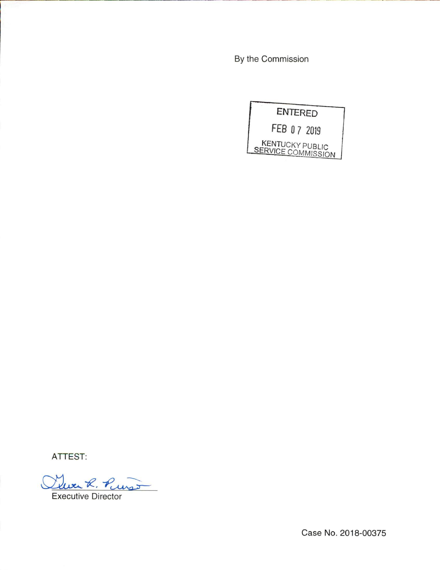By the Commission



ATTEST:

wer R. Purso

Executive Director

Case No. 2018-00375